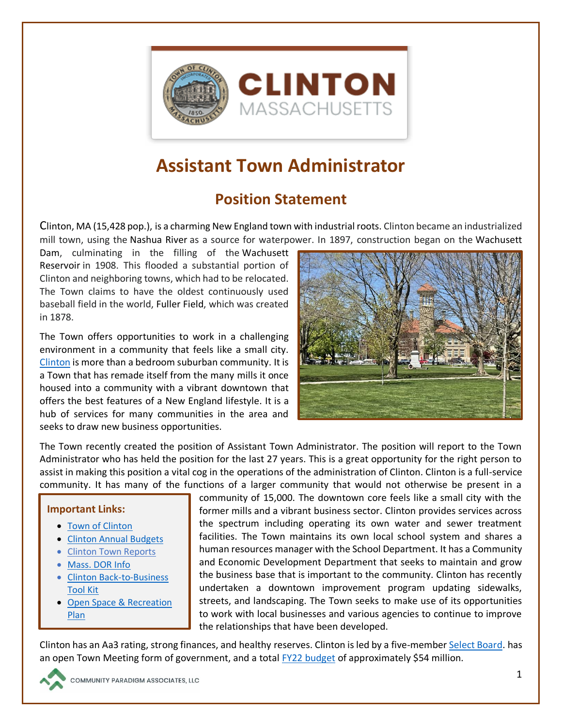

# **Assistant Town Administrator**

## **Position Statement**

Clinton, MA (15,428 pop.), is a charming New England town with industrial roots. Clinton became an industrialized mill town, using the Nashua River as a source for waterpower. In 1897, construction began on the Wachusett

Dam, culminating in the filling of the Wachusett Reservoir in 1908. This flooded a substantial portion of Clinton and neighboring towns, which had to be relocated. The Town claims to have the oldest continuously used baseball field in the world, Fuller Field, which was created in 1878.

The Town offers opportunities to work in a challenging environment in a community that feels like a small city. [Clinton](https://www.clintonma.gov/) is more than a bedroom suburban community. It is a Town that has remade itself from the many mills it once housed into a community with a vibrant downtown that offers the best features of a New England lifestyle. It is a hub of services for many communities in the area and seeks to draw new business opportunities.



The Town recently created the position of Assistant Town Administrator. The position will report to the Town Administrator who has held the position for the last 27 years. This is a great opportunity for the right person to assist in making this position a vital cog in the operations of the administration of Clinton. Clinton is a full-service community. It has many of the functions of a larger community that would not otherwise be present in a

#### **Important Links:**

- [Town of Clinton](https://www.clintonma.gov/)
- [Clinton Annual Budgets](https://www.clintonma.gov/Archive.aspx?AMID=84)
- [Clinton Town Reports](https://www.clintonma.gov/Archive.aspx?AMID=86)
- [Mass. DOR Info](https://dlsgateway.dor.state.ma.us/reports/rdPage.aspx?rdReport=Community_Comparison_Report&rdRequestForwarding=Form)
- [Clinton Back-to-Business](https://www.clintonma.gov/189/Community-Economic-Development)  [Tool Kit](https://www.clintonma.gov/189/Community-Economic-Development)
- [Open Space & Recreation](https://www.clintonrec.com/wp-content/uploads/2012/11/2016-OSRP-Complete_reduced.pdf)  [Plan](https://www.clintonrec.com/wp-content/uploads/2012/11/2016-OSRP-Complete_reduced.pdf)

community of 15,000. The downtown core feels like a small city with the former mills and a vibrant business sector. Clinton provides services across the spectrum including operating its own water and sewer treatment facilities. The Town maintains its own local school system and shares a human resources manager with the School Department. It has a Community and Economic Development Department that seeks to maintain and grow the business base that is important to the community. Clinton has recently undertaken a downtown improvement program updating sidewalks, streets, and landscaping. The Town seeks to make use of its opportunities to work with local businesses and various agencies to continue to improve the relationships that have been developed.

Clinton has an Aa3 rating, strong finances, and healthy reserves. Clinton is led by a five-member [Select Board.](https://www.clintonma.gov/205/Board-of-Selectmen) has an open Town Meeting form of government, and a total FY22 [budget](https://www.clintonma.gov/ArchiveCenter/ViewFile/Item/694) of approximately \$54 million.